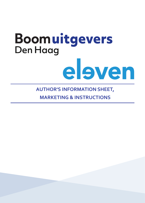# Boomuitgevers **Den Haag** eleven

## **AUTHOR'S INFORMATION SHEET,**

**MARKETING & INSTRUCTIONS**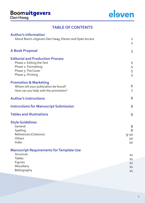## Boomuitgevers



## **TABLE OF CONTENTS**

| <b>Author's Information</b>                                                                                                            |                                  |
|----------------------------------------------------------------------------------------------------------------------------------------|----------------------------------|
| About Boom uitgevers Den Haag, Eleven and Open Access                                                                                  | $\overline{2}$<br>$\overline{2}$ |
| <b>A Book Proposal</b>                                                                                                                 | 3                                |
| <b>Editorial and Production Process</b><br>Phase 1: Editing the Text<br>Phase 2: Formatting<br>Phase 3: The Cover<br>Phase 4: Printing | 4<br>4<br>5<br>5                 |
| <b>Promotion &amp; Marketing</b><br>Where will your publication be found?<br>How can you help with the promotion?                      | 6<br>$\overline{7}$              |
| <b>Author's Instructions</b>                                                                                                           | 8                                |
| <b>Instructions for Manuscript Submission</b>                                                                                          | 8                                |
| <b>Tables and Illustrations</b>                                                                                                        | 8                                |
| <b>Style Guidelines</b><br>General<br>Spelling<br><b>References (Citations)</b><br>Others<br>Index                                     | 8<br>8<br>$9 - 10$<br>10<br>10   |
| <b>Manuscript Requirements for Template Use</b><br>Structure<br><b>Tables</b><br>Figures<br>Miscellany<br>Bibliography                 | 11<br>11<br>11<br>11<br>11       |
|                                                                                                                                        |                                  |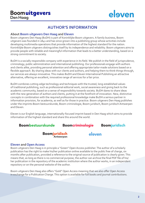## **AUTHOR'S INFORMATION**

### **About Boom uitgevers Den Haag and Eleven**

Boom uitgevers Den Haag (BuDH) is part of Koninklijke Boom uitgevers. A family business, Boom uitgevers was founded in 1841 and has since grown into a publishing group whose activities include developing multimedia operations that provide information of the highest standard for the nation. Koninklijke Boom uitgevers distinguishes itself by its independence and reliability. Boom uitgevers aims to provide people with reliable and meaningful information that leads to a better understanding, based on a strong commitment to society.

BuDH is a socially responsible company with experience in its field. We publish in the field of jurisprudence, criminology, public administration and international publishing. Our professionals engage with authors and clients alike, providing personal attention and offering appropriate tailor-made solutions based on a flexible approach. By sharing ideas with our clients and authors, and helping them to think things through, our services are always innovative. This makes BuDH and Eleven International Publishing an attractive alternative, offering an excellent, innovative range of services for a fair price.

BuDH combines cutting-edge technology and techniques with the trusted, long-established values of traditional publishing, such as professional editorial work, social awareness and giving back to the academic community, based on a sense of responsibility towards society. BuDH dares to share ideas with the new generation of authors and clients, putting it at the forefront of innovation. New, distinctive concepts in combination with the required professional knowledge make BuDH a serious partner in information provision, for academia, as well as for those in practice. Boom uitgevers Den Haag publishes under the imprints Boom bestuurskunde, Boom criminologie, Boom juridisch, Boom juridisch Antwerpen and Eleven.

Eleven is our English language, internationally-focused imprint based in Den Haag which aims to provide information of the highest standard and share this around the world.

**Boombestuurskunde Boomcriminologie Boomjuridisch** 

> **Boomjuridisch** Antwerpen

eleven

## **Eleven and Open Access**

Boom uitgevers Den Haag is in principle a "Green" Open Access publisher. The author of a scholarly publication has the right to make his/her publication online available to the public free of charge, six months after publication, provided a reference to the original source of publication is clearly given. This means that, as long as there is no commercial purpose, the author can archive the final PDF file of his/ her publication in the repository of the academic institution where the author works, in an independent repository or on the personal website of the author.

Boom uitgevers Den Haag also offers "Gold" Open Access meaning that we also offer Open Access in exchange for a Publication Charge. This option is available for full books and journal contributions.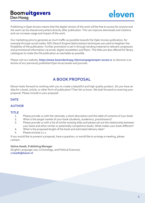

Publishing in Open Access means that the digital version of the work will be free to access for anyone and the work can be shared everywhere directly after publication. This can improve downloads and citations and can increase usage and impact of the work.

Our marketing aims to generate as much traffic as possible towards the Open Access publication, for example through social media. SEO (Search Engine Optimization) techniques are used to heighten the findability of the publication. Further promotion is set in through sending material to relevant congresses and promotional information via email, digital newsletters and flyers. The titles are also offered for library catalogues to make the OA publication as reachable as possible.

Please visit our website, **https://www.boomdenhaag.nl/en/campagne/open-access-e**, to discover a selection of our previously published Open Acces books and journals.

## **A BOOK PROPOSAL**

Eleven looks forward to working with you to create a beautiful and high-quality product. Do you have an idea for a book, article, or other form of publication? Then let us know. We look forward to receiving your proposal. Please include in your proposal:

## **DATE**

## **AUTHOR**

## **TITLE**

- 1. Please provide us with the rationale, a short description and the table of contents of your book
- 2. What is the target market of your book (students, academics, practitioners)?
- 3. Please provide us with a list of similar existing titles and please set out the relationship between your book and other similar or potentially competitive books. What makes your book different?
- 4. What is the proposed length of the book and estimated delivery date?
- 5. Please enclose a c.v.

If you would like to present a proposal, have a question, or would like to arrange a meeting, please contact:

### **Selma Hoedt, Publishing Manager**

(English Language Law, Criminology, and Political Sciences) **s.hoedt@boom.nl**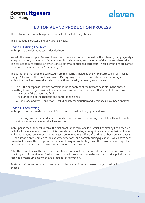

## **EDITORIAL AND PRODUCTION PROCESS**

The editorial and production process consists of the following phases:

This production process generally takes 12 weeks.

#### **Phase 1: Editing the Text**

In this phase the definitive text is decided upon.

We edit the manuscript in Microsoft Word and check and correct the text on the following: language, style, interpunctuation, numbering of the paragraphs and chapters, and the order of the chapters themselves. The corrections are carried out by one of our external specialized correctors. These corrections are carried out in Word using the option 'track changes'.

The author then receives the corrected Word manuscript, including the visible corrections, or 'tracked changes'. Thanks to this function in Word, it's very easy to see what corrections have been suggested. The author then decides themselves which corrections they do, or do not, wish to accept.

NB: This is the only phase in which corrections in the content of the text are possible. In the phases hereafter, it is no longer possible to carry out such corrections. This means that at end of this phase:

- The order of the chapters is final;
- The numbering of the chapters and paragraphs is final;
- All language and style corrections, including interpunctuation and references, have been finalized.

### **Phase 2: Formatting**

In this phase we ensure the layout and formatting of the definitive, approved text.

Our formatting is an automated process, in which we use fixed (formatting) templates. This allows all our publications to have a recognizable look and feel.

In this phase the author will receive the first proof in the form of a PDF which has already been checked technically by one of our correctors. A technical check includes, among others, checking that pagination and general layout are correct. It is not necessary to read this pdf proof, as that has been done in phase 1. The author is only required to look at any corrections (and possibly arising questions) which have been carried out by us in this first proof. In the case of diagrams or tables, the author can check and report any mistakes which may have occurred during the formatting process.

After the corrections of the first proof have been carried out, the author will receive a second proof. This is only for your information; no further corrections will be carried out in this version. In principal, the author receives a maximum amount of two proofs for confirmation.

As stated before, corrections to the content or language of the text, are no longer possible in phase 2.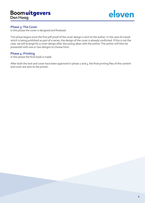

## **Phase 3: The Cover**

In this phase the cover is designed and finalized.

This phase begins once the first pdf proof of the cover design is sent to the author. In the case of a book which is being published as part of a series, the design of the cover is already confirmed. If this is not the case, we will arrange for a cover design after discussing ideas with the author. The author will then be presented with one or two designs to choose from.

## **Phase 4: Printing**

In this phase the final book is made.

After both the text and cover have been approved in phase 2 and 3, the final printing files of the content and cover are sent to the printer.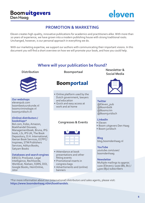

## **PROMOTION & MARKETING**

Eleven creates high-quality, innovative publications for academics and practitioners alike. With more than 20 years of experience, we have grown into a modern publishing house with strong traditional roots. Unchanged, however, is our personal approach in everything we do.

With our marketing expertise, we support our authors with communicating their important visions. In this document you will find a short overview on how we will promote your book, and how you could help.

## **Where will your publication be found?**



**Our webshops** elevenpub.com boombestuurskunde.nl boomcriminologie.nl boomjuridisch.nl

#### **(Online) distributors / bookshops\***

Bol.com, Kobo, Amazon, Boekhandel Douwes, Managementboek, Bruna, IPG book, LSi, IPS UK, The Book Depository, D.H. International, Iberian Book Services, ECPPC/ Inspirees, STM Publishers Services, Aditya Books, Satyam Books

#### **Databases and search engines**

EBSCO, ProQuest, Legal Intelligence, Rechtsorde, Worldcat, Nielsen, SSRN, DOI, Google Books, HeinOnline, Jstor

**Distribution Boomportaal**

## **Boomportaal**

- Online platform used by the Dutch government, lawyers and education
- Quick and easy access at work and at home

## **Congresses & Events**



- Attendance at book presentations and other fitting events
- Promotional inserts in congress bags
- Advertisments and (online) banners

**Newsletter & Social Media**



#### **Twitter** @Eleven\_pub @Boombstk @Boomcrim @Boomjuridisch

#### **LinkedIn**

- Eleven
- Boom uitgevers Den Haag
- Boom juridisch

**Blog** blog.boomdenhaag.nl

### **YouTube**

youtube.com/user/ boomdenhaag

#### **Newsletter**

Multiple mailings to approx. 1100 (Eleven) / 1100 (Bb, Bc) / 4500 (Bju) subscribers

\*For more information about our (international) distributors and sales agents, please visit: **https://www.boomdenhaag.nl/en/boekhandels**.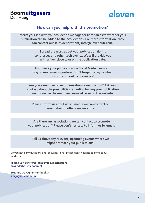

## **How can you help with the promotion?**

**Inform yourself with your collection manager or librarian as to whether your publication can be added to their collections. For more information, they can contact our sales department, info@elevenpub.com.**

> **Spread the word about your publication during congresses and other such events. We will provide you with a flyer close to or on the publication date.**

**Announce your publication via Social Media, via your blog or your email signature. Don't forget to tag us when posting your online messages!**

**Are you a member of an organisation or association? Ask your contact about the possibilities regarding having your publication mentioned in the members' newsletter or on the website.**

**Please inform us about which media we can contact on your behalf to offer a review copy.**

**Are there any associations we can contact to promote your publication? Please don't hesitate to inform us by email.**

**Tell us about any relevant, upcoming events where we might promote your publications.**

Do you have any questions and/or suggestions? Please don't hesitate to contact our marketers:

**Mischa van der Horst (academic & international) m.vanderhorst@boom.nl**

**Suzanne De Jagher (textbooks) s.dejagher@boom.nl**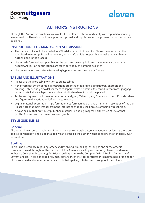## **AUTHOR'S INSTRUCTIONS**

Through the Author's instructions, we would like to offer assistance and clarity with regards to handing in manuscripts. These instructions support an optimal and supple production process for both author and publisher.

## **INSTRUCTIONS FOR MANUSCRIPT SUBMISSION**

- The manuscript should be emailed as a Word document to the editor. Please make sure that the submitted manuscript is the final version, not a draft, as it is not possible to make radical changes further along in the process.
- Use as little formatting as possible for the text, and use only bold and italics to mark paragraph headers. All lay-out specifications are taken care of by the graphic designer.
- Use only one font and refrain from using hyphenation and headers or footers.

## **TABLES AND ILLUSTRATIONS**

- Please use the Word table function to create tables.
- If the Word document contains illustrations other than tables (including figures, photographs, drawings, etc.), kindly also deliver them as separate files if possible (preferred formats are: .jpg/jpeg, .eps and .ai). Label each picture and clearly indicate where it should be placed.
- Tables and figures should be numbered separately, e.g. Table 1.1, 1.2, Figure 1.1, 1.2 etc. Provide tables and figures with captions and, if possible, a source.
- Digital material (preferably in .jpg format or .eps format) should have a minimum resolution of 300 dpi. Please note that most images from the Internet cannot be used because of their low resolution.
- Always ensure that previously published material (including images) is either free of use or that (written) permission for its use has been granted.

## **STYLE GUIDELINES**

## **General**

The author is welcome to maintain his or her own editorial style and/or conventions, as long as these are applied consistently. The guidelines below can be used if the author wishes to follow the standard Eleven house style.

## **Spelling**

There is no preference regarding American/British English spelling, as long as one or the other is consistently used throughout the manuscript. For American spelling conventions, please use Merriam-Webster's Collegiate Dictionary; for British spelling, refer to the Compact Oxford English Dictionary of Current English. In case of edited volumes, either consistency per contribution is maintained, or the editor of the volume decides whether American or British spelling is to be used throughout the volume.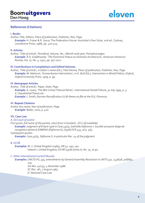

## **References (Citations)**

#### **I. Books**

*Author, Title, Edition, Place of publication, Publisher, Year, Page. Example:* H. Fraser & R. Joyce, The Federation House: Australia's Own Style, 2nd ed., Sydney, Lansdowne Press, 1986, pp. 420-425.

#### **II. Articles**

*Author, 'Title of article', Periodical, Volume, No., (Month and) year, Periodical pages. Example: R.A. Goldthwaite, 'The Florentine Palace as Domestic Architecture', American Historical Review, Vol. 77, No. 4, 1972, pp. 977-1012.*

#### **III. Contributions in Compilations and Edited Volumes**

*Author, 'Title of article', in Editor's name (Ed.), Title Volume, Place of publication, Publisher, Year, Page. Example: M. Akehurst, 'Humanitarian Intervention', in H. Bull (Ed.), Intervention in World Politics, Oxford, Oxford University Press, 1979, p. 99.*

#### **IV. Newspaper Articles**

*Author, 'Title of article', Paper, Date, Page. Example: A. Lewis, 'The War Crimes Tribunal Works', International Herald Tribune, 31 July 1995, p. 5. V. Unpublished Theses etc. Example: J. Smith, German Reunification (LLM theses on file at the EUI, Florence).*

#### **VI. Repeat Citations**

*Author last name, Year of publication, Page. Example: Baker, 2002, p. 420.*

#### **VII. Case Law**

#### *A. EU Court of Justice*

*First quote: full name of the parties, short form in brackets , ECLI (if available). Example: Judgment of 8 April 1976 in Case 43/75, Gabrielle Defrenne v. Société anonyme belge de navigation aérienne SABENA (Defrenne II), [1976] ECR 455, at p. 465. Subsequent quotes:* 

*Example: Case 43/75, Defrenne II, in particular Rec. 14 of the judgment.*

#### *B. ECHR*

*Examples: W. v. United Kingdom (1983), DR 32, 190, 192. Ireland v. United Kingdom, ECHR (1978) Series A, No. 25, at 90.*

#### *C. Other International Courts/Tribunals*

*Examples: UNCIO XV, 335; amendments by General Assembly Resolution in UNTS 557, 143/638, 308/892, 119.*

*GA Res. 41/133, 4 December 1986. SC Res. 181, 7 August 1963. D. National Case Law*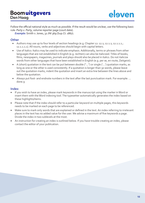eleven

Follow the official national style as much as possible. If the result would be unclear, use the following basic rule: *Party v. Party*, volume reporter page (court date).

*Example:* Smith v. Jones, 32 JNI 369 (Sup.Ct. 1867).

## **Other**

- Authors may use up to four levels of section headings (e.g. Chapter 12: 12.1; 12.1.1; 12.1.1.1.; 12.1.1.1.1). All nouns, verbs and adjectives should begin with capital letters.
- Use of italics: Italics may be used to indicate emphasis. Additionally, terms or phrases from other languages that are not established in English (e.g. rechten) can also be italicized. Titles of books, films, newspapers, magazines, journals and plays should also be placed in italics. Do not italicize words from other languages that have been established in English (e.g. per se, en route, Zeitgeist).
- A (short) quotation in the text can be put between double ("…") or single ('…') quotation marks, as long as one or the other is used consistently. If a quotation is longer than 30 words, please leave out the quotation marks, indent the quotation and insert an extra line between the lines above and below the quotation.
- Always put foot- and endnote numbers in the text after the last punctuation mark. For example: … done.9

## **Index**

- If you wish to have an index, please mark keywords in the manuscript using the marker in Word or insert them with the Word indexing tool. The typesetter automatically generates the index based on these highlights/items.
- Please note that if the index should refer to a particular keyword on multiple pages, this keywords needs to be marked on each page to be referenced.
- Make sure to mark only words that are explained or defined in the text. An index referring to irrelevant places in the text has no added value for the user. We advise a maximum of five keywords a page. Divide the index in two sublevels at the most.
- An instruction for creating an index is outlined below. If you have trouble creating an index, please contact the editor of your publication.